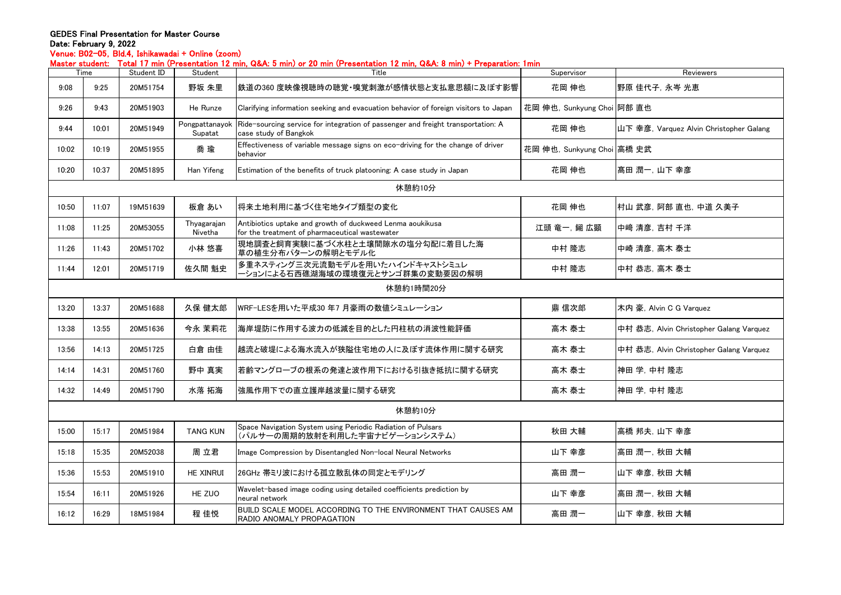## GEDES Final Presentation for Master Course Date: February 9, 2022

Venue: B02-05,Bld.4,Ishikawadai + Online (zoom)

Master student: Total 17 min (Presentation 12 min, Q&A: 5 min) or 20 min (Presentation 12 min, Q&A: 8 min) + Preparation: 1min

|           | iastui stuutiit. |            |                           | TUCAI T7 MINT\I 1030NGUUNTIZ MINI, WWA U MINI/UI ZU MINT\I 1030NGUUNTIZ MINI, WWA U MINI/ TTOPAIAUUN. MINII |                            |                                         |  |  |  |
|-----------|------------------|------------|---------------------------|-------------------------------------------------------------------------------------------------------------|----------------------------|-----------------------------------------|--|--|--|
|           | Time             | Student ID | Student                   | Title                                                                                                       | Supervisor                 | Reviewers                               |  |  |  |
| 9:08      | 9:25             | 20M51754   | 野坂 朱里                     | 鉄道の360 度映像視聴時の聴覚・嗅覚刺激が感情状態と支払意思額に及ぼす影響                                                                      | 花岡 伸也                      | 野原 佳代子, 永岑 光恵                           |  |  |  |
| 9:26      | 9:43             | 20M51903   | He Runze                  | Clarifying information seeking and evacuation behavior of foreign visitors to Japan                         | 花岡 伸也, Sunkyung Choi 阿部 直也 |                                         |  |  |  |
| 9:44      | 10:01            | 20M51949   | Pongpattanayok<br>Supatat | Ride-sourcing service for integration of passenger and freight transportation: A<br>case study of Bangkok   | 花岡 伸也                      | 山下 幸彦, Varquez Alvin Christopher Galang |  |  |  |
| 10:02     | 10:19            | 20M51955   | 喬 瑜                       | Effectiveness of variable message signs on eco-driving for the change of driver<br>behavior                 | 花岡 伸也, Sunkyung Choi 高橋 史武 |                                         |  |  |  |
| 10:20     | 10:37            | 20M51895   | Han Yifeng                | Estimation of the benefits of truck platooning: A case study in Japan                                       | 花岡 伸也                      | ┃髙田 潤一, 山下 幸彦                           |  |  |  |
| 休憩約10分    |                  |            |                           |                                                                                                             |                            |                                         |  |  |  |
| 10:50     | 11:07            | 19M51639   | 板倉 あい                     | 将来土地利用に基づく住宅地タイプ類型の変化                                                                                       | 花岡 伸也                      | 村山 武彦, 阿部 直也, 中道 久美子                    |  |  |  |
| 11:08     | 11:25            | 20M53055   | Thyagarajan<br>Nivetha    | Antibiotics uptake and growth of duckweed Lenma aoukikusa<br>for the treatment of pharmaceutical wastewater | 江頭 竜一, 鎺 広顕                | 中﨑 清彦, 吉村 千洋                            |  |  |  |
| 11:26     | 11:43            | 20M51702   | 小林 悠喜                     | 現地調査と飼育実験に基づく水柱と土壌間隙水の塩分勾配に着目した海<br>草の植生分布パターンの解明とモデル化                                                      | 中村 隆志                      | 中崎 清彦, 高木 泰士                            |  |  |  |
| 11:44     | 12:01            | 20M51719   | 佐久間 魁史                    | 多重ネスティング三次元流動モデルを用いたハインドキャストシミュレ<br>ーションによる石西礁湖海域の環境復元とサンゴ群集の変動要因の解明                                        | 中村 隆志                      | 中村 恭志, 高木 泰士                            |  |  |  |
| 休憩約1時間20分 |                  |            |                           |                                                                                                             |                            |                                         |  |  |  |
| 13:20     | 13:37            | 20M51688   | 久保 健太郎                    | WRF-LESを用いた平成30年7月豪雨の数値シミュレーション                                                                             | 鼎 信次郎                      | 木内 豪, Alvin C G Varquez                 |  |  |  |
| 13:38     | 13:55            | 20M51636   | 今永 茉莉花                    | 海岸堤防に作用する波力の低減を目的とした円柱杭の消波性能評価                                                                              | 高木 泰士                      | 中村 恭志, Alvin Christopher Galang Varquez |  |  |  |
| 13:56     | 14:13            | 20M51725   | 白倉 由佳                     | 越流と破堤による海水流入が狭隘住宅地の人に及ぼす流体作用に関する研究                                                                          | 高木 泰士                      | 中村 恭志, Alvin Christopher Galang Varquez |  |  |  |
| 14:14     | 14:31            | 20M51760   | 野中 真実                     | 若齢マングローブの根系の発達と波作用下における引抜き抵抗に関する研究                                                                          | 高木 泰士                      | 神田 学, 中村 隆志                             |  |  |  |
| 14:32     | 14:49            | 20M51790   | 水落 拓海                     | 強風作用下での直立護岸越波量に関する研究                                                                                        | 高木 泰士                      | 神田 学, 中村 隆志                             |  |  |  |
| 休憩約10分    |                  |            |                           |                                                                                                             |                            |                                         |  |  |  |
| 15:00     | 15:17            | 20M51984   | <b>TANG KUN</b>           | Space Navigation System using Periodic Radiation of Pulsars<br>(パルサーの周期的放射を利用した宇宙ナビゲーションシステム)               | 秋田 大輔                      | 高橋 邦夫, 山下 幸彦                            |  |  |  |
| 15:18     | 15:35            | 20M52038   | 周 立君                      | Image Compression by Disentangled Non-local Neural Networks                                                 | 山下 幸彦                      | 高田 潤一, 秋田 大輔                            |  |  |  |
| 15:36     | 15:53            | 20M51910   | <b>HE XINRUI</b>          | 26GHz 帯ミリ波における孤立散乱体の同定とモデリング                                                                                | 高田 潤一                      | 山下 幸彦, 秋田 大輔                            |  |  |  |
| 15:54     | 16:11            | 20M51926   | HE ZUO                    | Wavelet-based image coding using detailed coefficients prediction by<br>neural network                      | 山下 幸彦                      | 高田 潤一, 秋田 大輔                            |  |  |  |
| 16:12     | 16:29            | 18M51984   | 程 佳悦                      | BUILD SCALE MODEL ACCORDING TO THE ENVIRONMENT THAT CAUSES AM<br>RADIO ANOMALY PROPAGATION                  | 高田 潤一                      | 山下 幸彦, 秋田 大輔                            |  |  |  |